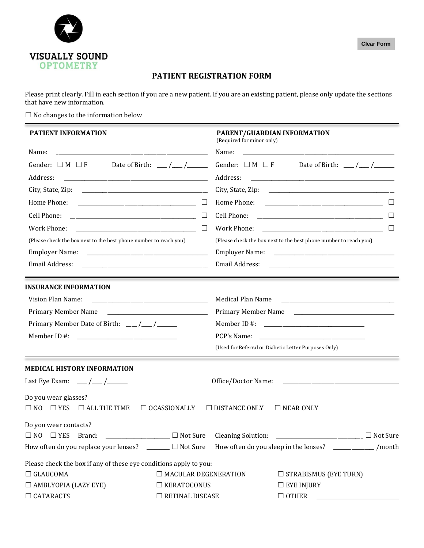

## **PATIENT REGISTRATION FORM**

Please print clearly. Fill in each section if you are a new patient. If you are an existing patient, please only update the sections that have new information.

 $\Box$  <br> No changes to the information below

| <b>PATIENT INFORMATION</b>                                                                                                    |                             | PARENT/GUARDIAN INFORMATION<br>(Required for minor only)          |                              |        |
|-------------------------------------------------------------------------------------------------------------------------------|-----------------------------|-------------------------------------------------------------------|------------------------------|--------|
| Name:<br><u> 1999 - Johann John Stein, markin fan it ferskearre fan it ferskearre fan it ferskearre fan it ferskearre fan</u> |                             |                                                                   |                              |        |
| Gender: $\square$ M $\square$ F<br>Address:                                                                                   |                             |                                                                   |                              |        |
|                                                                                                                               |                             |                                                                   |                              |        |
|                                                                                                                               | $\Box$                      |                                                                   |                              |        |
|                                                                                                                               | $\Box$                      |                                                                   |                              |        |
|                                                                                                                               | $\Box$                      |                                                                   |                              | $\Box$ |
| (Please check the box next to the best phone number to reach you)                                                             |                             | (Please check the box next to the best phone number to reach you) |                              |        |
|                                                                                                                               |                             |                                                                   |                              |        |
| Email Address: 2008. 2009. 2010. 2010. 2010. 2010. 2010. 2010. 2010. 2010. 2010. 2010. 2010. 2010. 2010. 2010                 |                             |                                                                   |                              |        |
| <b>INSURANCE INFORMATION</b>                                                                                                  |                             |                                                                   |                              |        |
| Vision Plan Name:                                                                                                             |                             | Medical Plan Name <b>Samuary 2018</b>                             |                              |        |
| Primary Member Name                                                                                                           |                             |                                                                   |                              |        |
|                                                                                                                               |                             |                                                                   |                              |        |
|                                                                                                                               |                             |                                                                   |                              |        |
|                                                                                                                               |                             | (Used for Referral or Diabetic Letter Purposes Only)              |                              |        |
| <b>MEDICAL HISTORY INFORMATION</b>                                                                                            |                             |                                                                   |                              |        |
| Last Eye Exam: ___ /___ /_____                                                                                                |                             |                                                                   |                              |        |
| Do you wear glasses?                                                                                                          |                             |                                                                   |                              |        |
| $\Box$ YES $\Box$ ALL THE TIME<br>$\Box$ NO                                                                                   | $\Box$ OCASSIONALLY         | $\Box$ DISTANCE ONLY                                              | $\Box$ NEAR ONLY             |        |
| Do you wear contacts?                                                                                                         |                             |                                                                   |                              |        |
| $\Box$ NO $\Box$ YES Brand:<br>$\Box$ Not Sure Cleaning Solution:                                                             |                             |                                                                   | $\Box$ Not Sure              |        |
| How often do you replace your lenses? $\Box$ Not Sure How often do you sleep in the lenses? $\Box$ /month                     |                             |                                                                   |                              |        |
| Please check the box if any of these eye conditions apply to you:                                                             |                             |                                                                   |                              |        |
| $\Box$ GLAUCOMA                                                                                                               | $\Box$ MACULAR DEGENERATION |                                                                   | $\Box$ STRABISMUS (EYE TURN) |        |
| $\Box$ AMBLYOPIA (LAZY EYE)                                                                                                   | $\Box$ KERATOCONUS          |                                                                   | $\Box$ EYE INJURY            |        |
| $\Box$ CATARACTS                                                                                                              | $\Box$ RETINAL DISEASE      |                                                                   | $\Box$ OTHER                 |        |